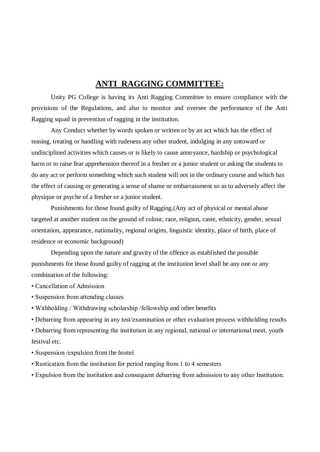# **ANTI RAGGING COMMITTEE:**

Unity PG College is having its Anti Ragging Committee to ensure compliance with the provisions of the Regulations, and also to monitor and oversee the performance of the Anti Ragging squad in prevention of ragging in the institution.

Any Conduct whether by words spoken or written or by an act which has the effect of teasing, treating or handling with rudeness any other student, indulging in any untoward or undisciplined activities which causes or is likely to cause annoyance, hardship or psychological harm or to raise fear apprehension thereof in a fresher or a junior student or asking the students to do any act or perform something which such student will not in the ordinary course and which has the effect of causing or generating a sense of shame or embarrassment so as to adversely affect the physique or psyche of a fresher or a junior student.

Punishments for those found guilty of Ragging.(Any act of physical or mental abuse targeted at another student on the ground of colour, race, religion, caste, ethnicity, gender, sexual orientation, appearance, nationality, regional origins, linguistic identity, place of birth, place of residence or economic background)

Depending upon the nature and gravity of the offence as established the possible punishments for those found guilty of ragging at the institution level shall be any one or any combination of the following:

- Cancellation of Admission
- Suspension from attending classes
- Withholding / Withdrawing scholarship /fellowship and other benefits
- Debarring from appearing in any test/examination or other evaluation process withholding results

• Debarring from representing the institution in any regional, national or international meet, youth festival etc.

- Suspension /expulsion from the hostel
- Rustication from the institution for period ranging from 1 to 4 semesters
- Expulsion from the institution and consequent debarring from admission to any other Institution.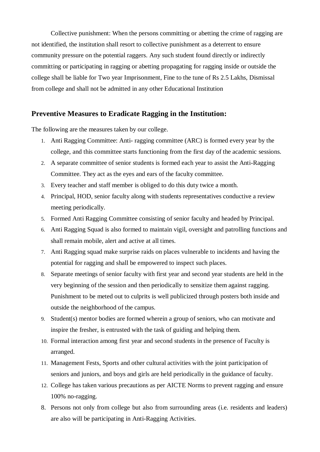Collective punishment: When the persons committing or abetting the crime of ragging are not identified, the institution shall resort to collective punishment as a deterrent to ensure community pressure on the potential raggers. Any such student found directly or indirectly committing or participating in ragging or abetting propagating for ragging inside or outside the college shall be liable for Two year Imprisonment, Fine to the tune of Rs 2.5 Lakhs, Dismissal from college and shall not be admitted in any other Educational Institution

## **Preventive Measures to Eradicate Ragging in the Institution:**

The following are the measures taken by our college.

- 1. Anti Ragging Committee: Anti- ragging committee (ARC) is formed every year by the college, and this committee starts functioning from the first day of the academic sessions.
- 2. A separate committee of senior students is formed each year to assist the Anti-Ragging Committee. They act as the eyes and ears of the faculty committee.
- 3. Every teacher and staff member is obliged to do this duty twice a month.
- 4. Principal, HOD, senior faculty along with students representatives conductive a review meeting periodically.
- 5. Formed Anti Ragging Committee consisting of senior faculty and headed by Principal.
- 6. Anti Ragging Squad is also formed to maintain vigil, oversight and patrolling functions and shall remain mobile, alert and active at all times.
- 7. Anti Ragging squad make surprise raids on places vulnerable to incidents and having the potential for ragging and shall be empowered to inspect such places.
- 8. Separate meetings of senior faculty with first year and second year students are held in the very beginning of the session and then periodically to sensitize them against ragging. Punishment to be meted out to culprits is well publicized through posters both inside and outside the neighborhood of the campus.
- 9. Student(s) mentor bodies are formed wherein a group of seniors, who can motivate and inspire the fresher, is entrusted with the task of guiding and helping them.
- 10. Formal interaction among first year and second students in the presence of Faculty is arranged.
- 11. Management Fests, Sports and other cultural activities with the joint participation of seniors and juniors, and boys and girls are held periodically in the guidance of faculty.
- 12. College has taken various precautions as per AICTE Norms to prevent ragging and ensure 100% no-ragging.
- 8. Persons not only from college but also from surrounding areas (i.e. residents and leaders) are also will be participating in Anti-Ragging Activities.